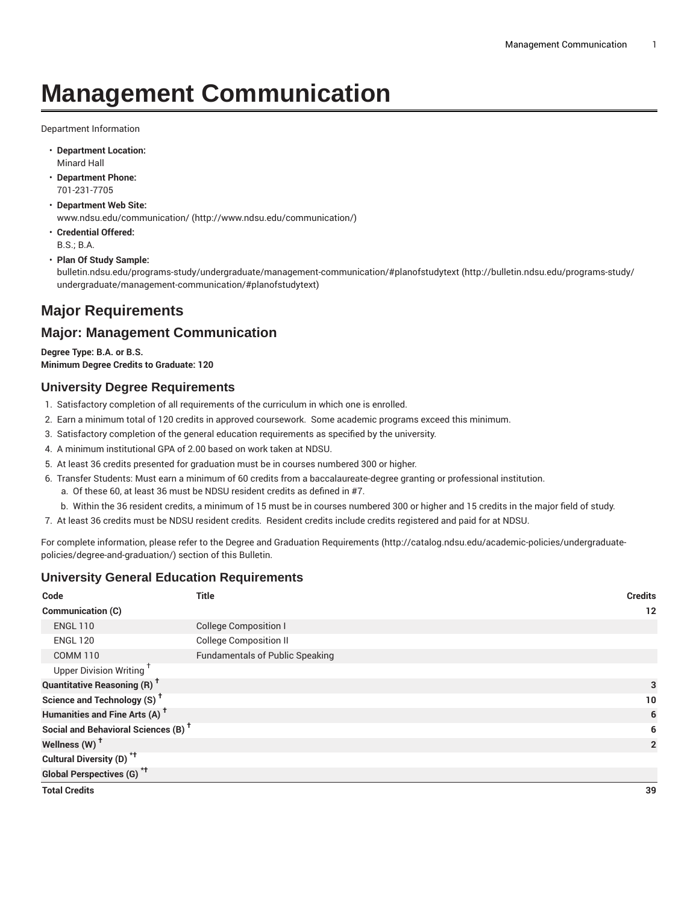# **Management Communication**

Department Information

- **Department Location:** Minard Hall
- **Department Phone:** 701-231-7705
- **Department Web Site:** [www.ndsu.edu/communication/](http://www.ndsu.edu/communication/) ([http://www.ndsu.edu/communication/\)](http://www.ndsu.edu/communication/)
- **Credential Offered:** B.S.; B.A.
- **Plan Of Study Sample:**

[bulletin.ndsu.edu/programs-study/undergraduate/management-communication/#planofstudytext \(http://bulletin.ndsu.edu/programs-study/](http://bulletin.ndsu.edu/programs-study/undergraduate/management-communication/#planofstudytext) [undergraduate/management-communication/#planofstudytext](http://bulletin.ndsu.edu/programs-study/undergraduate/management-communication/#planofstudytext))

# **Major Requirements**

# **Major: Management Communication**

**Degree Type: B.A. or B.S. Minimum Degree Credits to Graduate: 120**

## **University Degree Requirements**

- 1. Satisfactory completion of all requirements of the curriculum in which one is enrolled.
- 2. Earn a minimum total of 120 credits in approved coursework. Some academic programs exceed this minimum.
- 3. Satisfactory completion of the general education requirements as specified by the university.
- 4. A minimum institutional GPA of 2.00 based on work taken at NDSU.
- 5. At least 36 credits presented for graduation must be in courses numbered 300 or higher.
- 6. Transfer Students: Must earn a minimum of 60 credits from a baccalaureate-degree granting or professional institution.
	- a. Of these 60, at least 36 must be NDSU resident credits as defined in #7.
	- b. Within the 36 resident credits, a minimum of 15 must be in courses numbered 300 or higher and 15 credits in the major field of study.
- 7. At least 36 credits must be NDSU resident credits. Resident credits include credits registered and paid for at NDSU.

For complete information, please refer to the Degree and Graduation [Requirements](http://catalog.ndsu.edu/academic-policies/undergraduate-policies/degree-and-graduation/) ([http://catalog.ndsu.edu/academic-policies/undergraduate](http://catalog.ndsu.edu/academic-policies/undergraduate-policies/degree-and-graduation/)[policies/degree-and-graduation/\)](http://catalog.ndsu.edu/academic-policies/undergraduate-policies/degree-and-graduation/) section of this Bulletin.

## **University General Education Requirements**

| Code                                            | <b>Title</b>                           | <b>Credits</b> |
|-------------------------------------------------|----------------------------------------|----------------|
| Communication (C)                               |                                        | 12             |
| <b>ENGL 110</b>                                 | <b>College Composition I</b>           |                |
| <b>ENGL 120</b>                                 | <b>College Composition II</b>          |                |
| <b>COMM 110</b>                                 | <b>Fundamentals of Public Speaking</b> |                |
| Upper Division Writing <sup>+</sup>             |                                        |                |
| <b>Quantitative Reasoning (R)<sup>†</sup></b>   |                                        | 3              |
| Science and Technology (S) <sup>+</sup>         |                                        | 10             |
| Humanities and Fine Arts (A) <sup>t</sup>       |                                        | 6              |
| Social and Behavioral Sciences (B) <sup>+</sup> |                                        | 6              |
| Wellness (W) <sup>+</sup>                       |                                        | $\overline{2}$ |
| Cultural Diversity (D) <sup>*†</sup>            |                                        |                |
| Global Perspectives (G) <sup>*†</sup>           |                                        |                |
| <b>Total Credits</b>                            |                                        | 39             |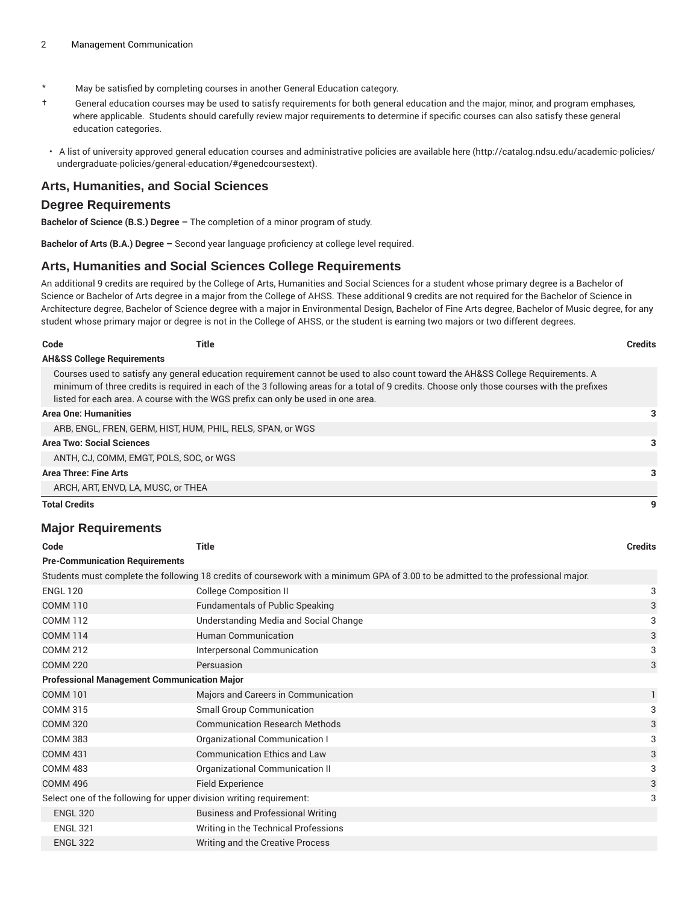- \* May be satisfied by completing courses in another General Education category.
- † General education courses may be used to satisfy requirements for both general education and the major, minor, and program emphases, where applicable. Students should carefully review major requirements to determine if specific courses can also satisfy these general education categories.
- A list of university approved general education courses and administrative policies are available [here](http://catalog.ndsu.edu/academic-policies/undergraduate-policies/general-education/#genedcoursestext) ([http://catalog.ndsu.edu/academic-policies/](http://catalog.ndsu.edu/academic-policies/undergraduate-policies/general-education/#genedcoursestext) [undergraduate-policies/general-education/#genedcoursestext](http://catalog.ndsu.edu/academic-policies/undergraduate-policies/general-education/#genedcoursestext)).

#### **Arts, Humanities, and Social Sciences**

#### **Degree Requirements**

**Bachelor of Science (B.S.) Degree –** The completion of a minor program of study.

**Bachelor of Arts (B.A.) Degree –** Second year language proficiency at college level required.

#### **Arts, Humanities and Social Sciences College Requirements**

An additional 9 credits are required by the College of Arts, Humanities and Social Sciences for a student whose primary degree is a Bachelor of Science or Bachelor of Arts degree in a major from the College of AHSS. These additional 9 credits are not required for the Bachelor of Science in Architecture degree, Bachelor of Science degree with a major in Environmental Design, Bachelor of Fine Arts degree, Bachelor of Music degree, for any student whose primary major or degree is not in the College of AHSS, or the student is earning two majors or two different degrees.

| Code                                                        | Title                                                                                                                                                                                                                                                                                                                                                              | Credits |
|-------------------------------------------------------------|--------------------------------------------------------------------------------------------------------------------------------------------------------------------------------------------------------------------------------------------------------------------------------------------------------------------------------------------------------------------|---------|
| <b>AH&amp;SS College Requirements</b>                       |                                                                                                                                                                                                                                                                                                                                                                    |         |
|                                                             | Courses used to satisfy any general education requirement cannot be used to also count toward the AH&SS College Requirements. A<br>minimum of three credits is required in each of the 3 following areas for a total of 9 credits. Choose only those courses with the prefixes<br>listed for each area. A course with the WGS prefix can only be used in one area. |         |
| <b>Area One: Humanities</b>                                 |                                                                                                                                                                                                                                                                                                                                                                    |         |
| ARB. ENGL. FREN. GERM. HIST. HUM. PHIL. RELS. SPAN. or WGS. |                                                                                                                                                                                                                                                                                                                                                                    |         |
| <b>Area Two: Social Sciences</b>                            |                                                                                                                                                                                                                                                                                                                                                                    |         |
| ANTH, CJ, COMM, EMGT, POLS, SOC, or WGS                     |                                                                                                                                                                                                                                                                                                                                                                    |         |
| Area Three: Fine Arts                                       |                                                                                                                                                                                                                                                                                                                                                                    |         |
| ARCH, ART, ENVD, LA, MUSC, or THEA                          |                                                                                                                                                                                                                                                                                                                                                                    |         |
| <b>Total Credits</b>                                        |                                                                                                                                                                                                                                                                                                                                                                    | 9       |

#### **Major Requirements**

| Code                                                                                                                               | <b>Title</b>                             | <b>Credits</b> |  |  |
|------------------------------------------------------------------------------------------------------------------------------------|------------------------------------------|----------------|--|--|
| <b>Pre-Communication Requirements</b>                                                                                              |                                          |                |  |  |
| Students must complete the following 18 credits of coursework with a minimum GPA of 3.00 to be admitted to the professional major. |                                          |                |  |  |
| <b>ENGL 120</b>                                                                                                                    | <b>College Composition II</b>            | 3              |  |  |
| <b>COMM 110</b>                                                                                                                    | <b>Fundamentals of Public Speaking</b>   | 3              |  |  |
| <b>COMM 112</b>                                                                                                                    | Understanding Media and Social Change    | 3              |  |  |
| <b>COMM 114</b>                                                                                                                    | <b>Human Communication</b>               | 3              |  |  |
| <b>COMM 212</b>                                                                                                                    | Interpersonal Communication              | 3              |  |  |
| <b>COMM 220</b>                                                                                                                    | Persuasion                               | 3              |  |  |
| <b>Professional Management Communication Major</b>                                                                                 |                                          |                |  |  |
| <b>COMM 101</b>                                                                                                                    | Majors and Careers in Communication      | 1              |  |  |
| <b>COMM 315</b>                                                                                                                    | Small Group Communication                | 3              |  |  |
| <b>COMM 320</b>                                                                                                                    | <b>Communication Research Methods</b>    | 3              |  |  |
| <b>COMM 383</b>                                                                                                                    | Organizational Communication I           | 3              |  |  |
| <b>COMM 431</b>                                                                                                                    | <b>Communication Ethics and Law</b>      | 3              |  |  |
| <b>COMM 483</b>                                                                                                                    | Organizational Communication II          | 3              |  |  |
| <b>COMM 496</b>                                                                                                                    | Field Experience                         | 3              |  |  |
| Select one of the following for upper division writing requirement:                                                                |                                          |                |  |  |
| <b>ENGL 320</b>                                                                                                                    | <b>Business and Professional Writing</b> |                |  |  |
| <b>ENGL 321</b>                                                                                                                    | Writing in the Technical Professions     |                |  |  |
| <b>ENGL 322</b>                                                                                                                    | Writing and the Creative Process         |                |  |  |